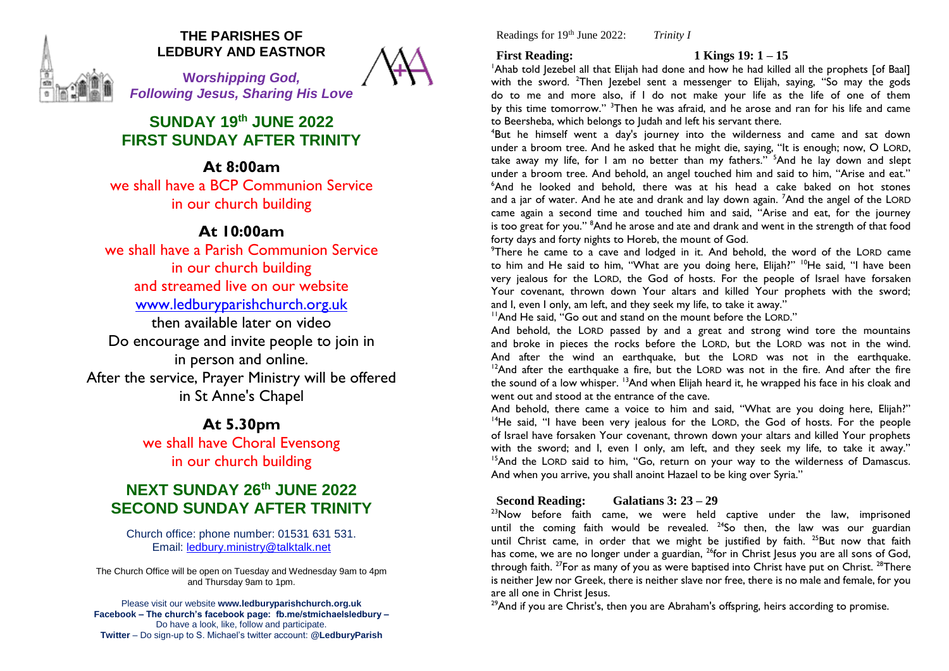

## **THE PARISHES OF LEDBURY AND EASTNOR**

**W***orshipping God, Following Jesus, Sharing His Love*

# **SUNDAY 19 th JUNE 2022 FIRST SUNDAY AFTER TRINITY**

# **At 8:00am**

we shall have a BCP Communion Service in our church building

# **At 10:00am**

we shall have a Parish Communion Service in our church building and streamed live on our website [www.ledburyparishchurch.org.uk](http://www.ledburyparishchurch.org.uk/) then available later on video Do encourage and invite people to join in in person and online. After the service, Prayer Ministry will be offered in St Anne's Chapel

# **At 5.30pm**

we shall have Choral Evensong in our church building

# **NEXT SUNDAY 26th JUNE 2022 SECOND SUNDAY AFTER TRINITY**

Church office: phone number: 01531 631 531. Email: [ledbury.ministry@talktalk.net](mailto:ledbury.ministry@talktalk.net)

The Church Office will be open on Tuesday and Wednesday 9am to 4pm and Thursday 9am to 1pm.

Please visit our website **www.ledburyparishchurch.org.uk Facebook – The church's facebook page: fb.me/stmichaelsledbury –** Do have a look, like, follow and participate. **Twitter** – Do sign-up to S. Michael's twitter account: **@LedburyParish**

Readings for 19th June 2022: *Trinity I*

**First Reading: 1 Kings 19: 1 – 15** 

<sup>1</sup>Ahab told lezebel all that Elijah had done and how he had killed all the prophets [of Baal] with the sword. <sup>2</sup>Then Jezebel sent a messenger to Elijah, saying, "So may the gods do to me and more also, if I do not make your life as the life of one of them by this time tomorrow." <sup>3</sup>Then he was afraid, and he arose and ran for his life and came to Beersheba, which belongs to Judah and left his servant there.

<sup>4</sup>But he himself went a day's journey into the wilderness and came and sat down under a broom tree. And he asked that he might die, saying, "It is enough; now, O LORD, take away my life, for I am no better than my fathers." <sup>5</sup>And he lay down and slept under a broom tree. And behold, an angel touched him and said to him, "Arise and eat." <sup>6</sup>And he looked and behold, there was at his head a cake baked on hot stones and a jar of water. And he ate and drank and lay down again. <sup>7</sup>And the angel of the LORD came again a second time and touched him and said, "Arise and eat, for the journey is too great for you." <sup>8</sup>And he arose and ate and drank and went in the strength of that food forty days and forty nights to Horeb, the mount of God.

<sup>9</sup>There he came to a cave and lodged in it. And behold, the word of the LORD came to him and He said to him, "What are you doing here, Elijah?" <sup>10</sup>He said, "I have been very jealous for the LORD, the God of hosts. For the people of Israel have forsaken Your covenant, thrown down Your altars and killed Your prophets with the sword; and I, even I only, am left, and they seek my life, to take it away."

<sup>11</sup>And He said, "Go out and stand on the mount before the LORD."

And behold, the LORD passed by and a great and strong wind tore the mountains and broke in pieces the rocks before the LORD, but the LORD was not in the wind. And after the wind an earthquake, but the LORD was not in the earthquake.  $12$ And after the earthquake a fire, but the LORD was not in the fire. And after the fire the sound of a low whisper. <sup>13</sup>And when Elijah heard it, he wrapped his face in his cloak and went out and stood at the entrance of the cave.

And behold, there came a voice to him and said, "What are you doing here, Elijah?"  $14$ He said, "I have been very jealous for the LORD, the God of hosts. For the people of Israel have forsaken Your covenant, thrown down your altars and killed Your prophets with the sword; and I, even I only, am left, and they seek my life, to take it away." <sup>15</sup>And the LORD said to him, "Go, return on your way to the wilderness of Damascus. And when you arrive, you shall anoint Hazael to be king over Syria."

## **Second Reading: Galatians 3: 23 – 29**

 $^{23}$ Now before faith came, we were held captive under the law, imprisoned until the coming faith would be revealed.  $24$ So then, the law was our guardian until Christ came, in order that we might be justified by faith.<sup>25</sup>But now that faith has come, we are no longer under a guardian,  $^{26}$ for in Christ Jesus you are all sons of God, through faith. <sup>27</sup>For as many of you as were baptised into Christ have put on Christ. <sup>28</sup>There is neither Jew nor Greek, there is neither slave nor free, there is no male and female, for you are all one in Christ Jesus.

 $29$ And if you are Christ's, then you are Abraham's offspring, heirs according to promise.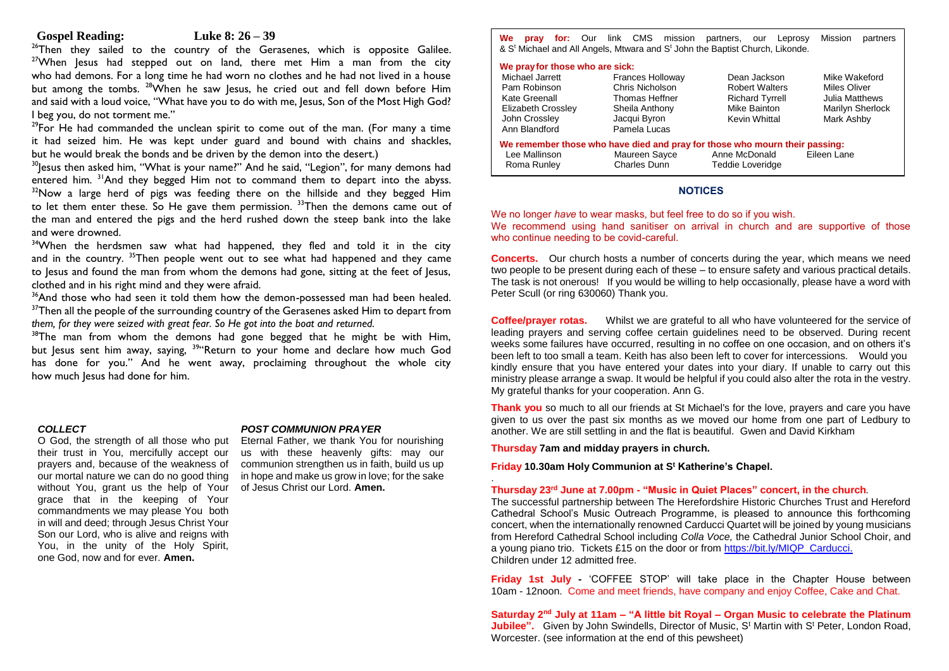#### **Gospel Reading: Luke 8: 26 – 39**

<sup>26</sup>Then they sailed to the country of the Gerasenes, which is opposite Galilee.  $27$ When lesus had stepped out on land, there met Him a man from the city who had demons. For a long time he had worn no clothes and he had not lived in a house but among the tombs. <sup>28</sup>When he saw lesus, he cried out and fell down before Him and said with a loud voice, "What have you to do with me, Jesus, Son of the Most High God? I beg you, do not torment me."

 $29$ For He had commanded the unclean spirit to come out of the man. (For many a time it had seized him. He was kept under guard and bound with chains and shackles, but he would break the bonds and be driven by the demon into the desert.)

 $30$  esus then asked him, "What is your name?" And he said, "Legion", for many demons had entered him. <sup>31</sup>And they begged Him not to command them to depart into the abyss.  $32$ Now a large herd of pigs was feeding there on the hillside and they begged Him to let them enter these. So He gave them permission. <sup>33</sup>Then the demons came out of the man and entered the pigs and the herd rushed down the steep bank into the lake and were drowned.

<sup>34</sup>When the herdsmen saw what had happened, they fled and told it in the city and in the country.  $35$ Then people went out to see what had happened and they came to lesus and found the man from whom the demons had gone, sitting at the feet of lesus, clothed and in his right mind and they were afraid.

 $36$ And those who had seen it told them how the demon-possessed man had been healed. <sup>37</sup>Then all the people of the surrounding country of the Gerasenes asked Him to depart from *them, for they were seized with great fear. So He got into the boat and returned.*

 $38$ The man from whom the demons had gone begged that he might be with Him, but Jesus sent him away, saying, <sup>39</sup> Return to your home and declare how much God has done for you." And he went away, proclaiming throughout the whole city how much Jesus had done for him.

#### *COLLECT*

O God, the strength of all those who put their trust in You, mercifully accept our prayers and, because of the weakness of our mortal nature we can do no good thing without You, grant us the help of Your grace that in the keeping of Your commandments we may please You both in will and deed; through Jesus Christ Your Son our Lord, who is alive and reigns with You, in the unity of the Holy Spirit, one God, now and for ever. **Amen.**

#### *POST COMMUNION PRAYER*

Eternal Father, we thank You for nourishing us with these heavenly gifts: may our communion strengthen us in faith, build us up in hope and make us grow in love; for the sake of Jesus Christ our Lord. **Amen.**

**We pray for:** Our link CMS mission partners, our Leprosy Mission partners & S<sup>t</sup> Michael and All Angels, Mtwara and S<sup>t</sup> John the Baptist Church, Likonde.

### **We prayfor those who are sick:**

| $\cdots$ , $\cdots$ , $\cdots$ , $\cdots$ , $\cdots$ , $\cdots$ , $\cdots$ |                         |                                                                             |                  |  |
|----------------------------------------------------------------------------|-------------------------|-----------------------------------------------------------------------------|------------------|--|
| Michael Jarrett                                                            | <b>Frances Holloway</b> | Dean Jackson                                                                | Mike Wakeford    |  |
| Pam Robinson                                                               | Chris Nicholson         | <b>Robert Walters</b>                                                       | Miles Oliver     |  |
| Kate Greenall                                                              | Thomas Heffner          | <b>Richard Tyrrell</b>                                                      | Julia Matthews   |  |
| Elizabeth Crossley                                                         | Sheila Anthony          | Mike Bainton                                                                | Marilyn Sherlock |  |
| John Crossley                                                              | Jacqui Byron            | Kevin Whittal                                                               | Mark Ashby       |  |
| Ann Blandford                                                              | Pamela Lucas            |                                                                             |                  |  |
|                                                                            |                         | We remember those who have died and pray for those who mourn their passing: |                  |  |
| Lee Mallinson                                                              | Maureen Sayce           | Anne McDonald                                                               | Eileen Lane      |  |
| Roma Runley                                                                | Charles Dunn            | <b>Teddie Loveridge</b>                                                     |                  |  |
|                                                                            |                         |                                                                             |                  |  |

#### **NOTICES**

We no longer *have* to wear masks, but feel free to do so if you wish. We recommend using hand sanitiser on arrival in church and are supportive of those who continue needing to be covid-careful.

**Concerts.** Our church hosts a number of concerts during the year, which means we need two people to be present during each of these – to ensure safety and various practical details. The task is not onerous! If you would be willing to help occasionally, please have a word with Peter Scull (or ring 630060) Thank you.

**Coffee/prayer rotas.** Whilst we are grateful to all who have volunteered for the service of leading prayers and serving coffee certain guidelines need to be observed. During recent weeks some failures have occurred, resulting in no coffee on one occasion, and on others it's been left to too small a team. Keith has also been left to cover for intercessions. Would you kindly ensure that you have entered your dates into your diary. If unable to carry out this ministry please arrange a swap. It would be helpful if you could also alter the rota in the vestry. My grateful thanks for your cooperation. Ann G.

**Thank you** so much to all our friends at St Michael's for the love, prayers and care you have given to us over the past six months as we moved our home from one part of Ledbury to another. We are still settling in and the flat is beautiful. Gwen and David Kirkham

**Thursday 7am and midday prayers in church.**

**Friday 10.30am Holy Communion at S<sup>t</sup> Katherine's Chapel.**

#### . **Thursday 23rd June at 7.00pm - "Music in Quiet Places" concert, in the church***.*

The successful partnership between The Herefordshire Historic Churches Trust and Hereford Cathedral School's Music Outreach Programme, is pleased to announce this forthcoming concert, when the internationally renowned Carducci Quartet will be joined by young musicians from Hereford Cathedral School including *Colla Voce,* the Cathedral Junior School Choir, and a young piano trio. Tickets £15 on the door or from [https://bit.ly/MIQP\\_Carducci.](https://bit.ly/MIQP_Carducci) Children under 12 admitted free.

**Friday 1st July -** 'COFFEE STOP' will take place in the Chapter House between 10am - 12noon. Come and meet friends, have company and enjoy Coffee, Cake and Chat.

**Saturday 2nd July at 11am – "A little bit Royal – Organ Music to celebrate the Platinum** Jubilee". Given by John Swindells, Director of Music, S<sup>t</sup> Martin with S<sup>t</sup> Peter, London Road, Worcester. (see information at the end of this pewsheet)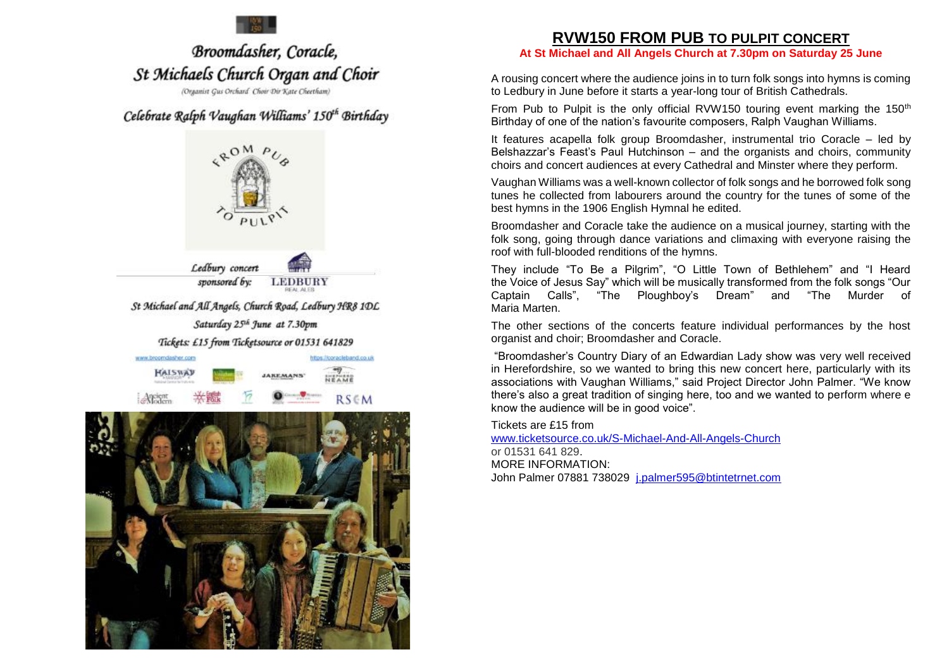

# Broomdasher, Coracle, St Michaels Church Organ and Choir

(Organist Gus Orchard Choir Dir Kate Cheetham)

# Celebrate Ralph Vaughan Williams' 150<sup>th</sup> Birthday





# **RVW150 FROM PUB TO PULPIT CONCERT**

**At St Michael and All Angels Church at 7.30pm on Saturday 25 June**

A rousing concert where the audience joins in to turn folk songs into hymns is coming to Ledbury in June before it starts a year-long tour of British Cathedrals.

From Pub to Pulpit is the only official RVW150 touring event marking the 150<sup>th</sup> Birthday of one of the nation's favourite composers, Ralph Vaughan Williams.

It features acapella folk group Broomdasher, instrumental trio Coracle – led by Belshazzar's Feast's Paul Hutchinson – and the organists and choirs, community choirs and concert audiences at every Cathedral and Minster where they perform.

Vaughan Williams was a well-known collector of folk songs and he borrowed folk song tunes he collected from labourers around the country for the tunes of some of the best hymns in the 1906 English Hymnal he edited.

Broomdasher and Coracle take the audience on a musical journey, starting with the folk song, going through dance variations and climaxing with everyone raising the roof with full-blooded renditions of the hymns.

They include "To Be a Pilgrim", "O Little Town of Bethlehem" and "I Heard the Voice of Jesus Say" which will be musically transformed from the folk songs "Our Captain Calls", "The Ploughboy's Dream" and "The Murder of Maria Marten.

The other sections of the concerts feature individual performances by the host organist and choir; Broomdasher and Coracle.

"Broomdasher's Country Diary of an Edwardian Lady show was very well received in Herefordshire, so we wanted to bring this new concert here, particularly with its associations with Vaughan Williams," said Project Director John Palmer. "We know there's also a great tradition of singing here, too and we wanted to perform where e know the audience will be in good voice".

Tickets are £15 from

[www.ticketsource.co.uk/S-Michael-And-All-Angels-Church](http://www.ticketsource.co.uk/S-Michael-And-All-Angels-Church) or 01531 641 829. MORE INFORMATION: John Palmer 07881 738029 [j.palmer595@btintetrnet.com](mailto:j.palmer595@btintetrnet.com)